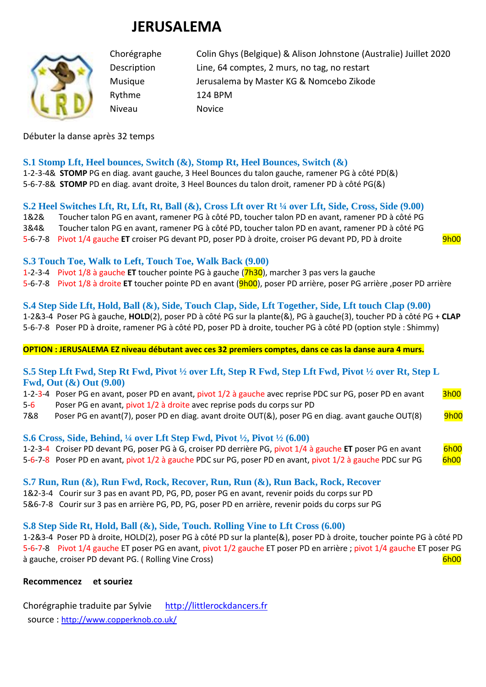# **JERUSALEMA**



Rythme 124 BPM Niveau Novice

Chorégraphe Colin Ghys (Belgique) & Alison Johnstone (Australie) Juillet 2020 Description Line, 64 comptes, 2 murs, no tag, no restart Musique Jerusalema by Master KG & Nomcebo Zikode

## Débuter la danse après 32 temps

**S.1 Stomp Lft, Heel bounces, Switch (&), Stomp Rt, Heel Bounces, Switch (&)** 1-2-3-4& **STOMP** PG en diag. avant gauche, 3 Heel Bounces du talon gauche, ramener PG à côté PD(&) 5-6-7-8& **STOMP** PD en diag. avant droite, 3 Heel Bounces du talon droit, ramener PD à côté PG(&)

# **S.2 Heel Switches Lft, Rt, Lft, Rt, Ball (&), Cross Lft over Rt ¼ over Lft, Side, Cross, Side (9.00)**

1&2& Toucher talon PG en avant, ramener PG à côté PD, toucher talon PD en avant, ramener PD à côté PG 3&4& Toucher talon PG en avant, ramener PG à côté PD, toucher talon PD en avant, ramener PD à côté PG 5-6-7-8 Pivot 1/4 gauche **ET** croiser PG devant PD, poser PD à droite, croiser PG devant PD, PD à droite 9h00

## **S.3 Touch Toe, Walk to Left, Touch Toe, Walk Back (9.00)**

1-2-3-4 Pivot 1/8 à gauche **ET** toucher pointe PG à gauche (7h30), marcher 3 pas vers la gauche

5-6-7-8 Pivot 1/8 à droite **ET** toucher pointe PD en avant (9h00), poser PD arrière, poser PG arrière ,poser PD arrière

### **S.4 Step Side Lft, Hold, Ball (&), Side, Touch Clap, Side, Lft Together, Side, Lft touch Clap (9.00)**

1-2&3-4 Poser PG à gauche, **HOLD**(2), poser PD à côté PG sur la plante(&), PG à gauche(3), toucher PD à côté PG + **CLAP** 5-6-7-8 Poser PD à droite, ramener PG à côté PD, poser PD à droite, toucher PG à côté PD (option style : Shimmy)

#### **OPTION : JERUSALEMA EZ niveau débutant avec ces 32 premiers comptes, dans ce cas la danse aura 4 murs.**

## **S.5 Step Lft Fwd, Step Rt Fwd, Pivot ½ over Lft, Step R Fwd, Step Lft Fwd, Pivot ½ over Rt, Step L Fwd, Out (&) Out (9.00)**

|         | 1-2-3-4 Poser PG en avant, poser PD en avant, pivot 1/2 à gauche avec reprise PDC sur PG, poser PD en avant | <b>3h00</b> |
|---------|-------------------------------------------------------------------------------------------------------------|-------------|
| $5 - 6$ | Poser PG en avant, pivot 1/2 à droite avec reprise pods du corps sur PD                                     |             |

7&8 Poser PG en avant(7), poser PD en diag. avant droite OUT(&), poser PG en diag. avant gauche OUT(8) 9h00

# **S.6 Cross, Side, Behind, ¼ over Lft Step Fwd, Pivot ½, Pivot ½ (6.00)**

1-2-3-4 Croiser PD devant PG, poser PG à G, croiser PD derrière PG, pivot 1/4 à gauche **ET** poser PG en avant 6h00 5-6-7-8 Poser PD en avant, pivot 1/2 à gauche PDC sur PG, poser PD en avant, pivot 1/2 à gauche PDC sur PG 6h00

**S.7 Run, Run (&), Run Fwd, Rock, Recover, Run, Run (&), Run Back, Rock, Recover**

1&2-3-4 Courir sur 3 pas en avant PD, PG, PD, poser PG en avant, revenir poids du corps sur PD

5&6-7-8 Courir sur 3 pas en arrière PG, PD, PG, poser PD en arrière, revenir poids du corps sur PG

# **S.8 Step Side Rt, Hold, Ball (&), Side, Touch. Rolling Vine to Lft Cross (6.00)**

1-2&3-4 Poser PD à droite, HOLD(2), poser PG à côté PD sur la plante(&), poser PD à droite, toucher pointe PG à côté PD 5-6-7-8 Pivot 1/4 gauche ET poser PG en avant, pivot 1/2 gauche ET poser PD en arrière ; pivot 1/4 gauche ET poser PG à gauche, croiser PD devant PG. ( Rolling Vine Cross) 6h00 and the control of the control of the control of the control of the control of the control of the control of the control of the control of the control of the contr

# **Recommencez et souriez**

Chorégraphie traduite par Sylvie http://littlerockdancers.fr source : [http://www.copperknob.co.uk/](https://www.copperknob.co.uk/)